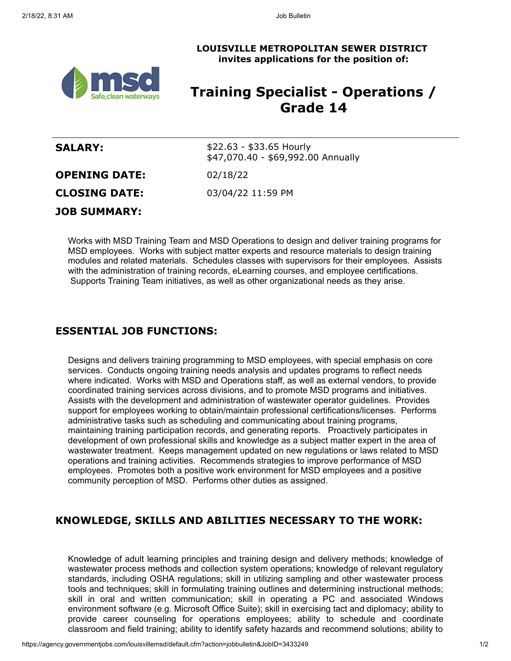**LOUISVILLE METROPOLITAN SEWER DISTRICT invites applications for the position of:**



# **Training Specialist - Operations / Grade 14**

| <b>SALARY:</b>       | $$22.63 - $33.65$ Hourly<br>\$47,070.40 - \$69,992.00 Annually |
|----------------------|----------------------------------------------------------------|
| <b>OPENING DATE:</b> | 02/18/22                                                       |
| <b>CLOSING DATE:</b> | 03/04/22 11:59 PM                                              |
| <b>JOB SUMMARY:</b>  |                                                                |

Works with MSD Training Team and MSD Operations to design and deliver training programs for MSD employees. Works with subject matter experts and resource materials to design training modules and related materials. Schedules classes with supervisors for their employees. Assists with the administration of training records, eLearning courses, and employee certifications. Supports Training Team initiatives, as well as other organizational needs as they arise.

#### **ESSENTIAL JOB FUNCTIONS:**

Designs and delivers training programming to MSD employees, with special emphasis on core services. Conducts ongoing training needs analysis and updates programs to reflect needs where indicated. Works with MSD and Operations staff, as well as external vendors, to provide coordinated training services across divisions, and to promote MSD programs and initiatives. Assists with the development and administration of wastewater operator guidelines. Provides support for employees working to obtain/maintain professional certifications/licenses. Performs administrative tasks such as scheduling and communicating about training programs, maintaining training participation records, and generating reports. Proactively participates in development of own professional skills and knowledge as a subject matter expert in the area of wastewater treatment. Keeps management updated on new regulations or laws related to MSD operations and training activities. Recommends strategies to improve performance of MSD employees. Promotes both a positive work environment for MSD employees and a positive community perception of MSD. Performs other duties as assigned.

## **KNOWLEDGE, SKILLS AND ABILITIES NECESSARY TO THE WORK:**

Knowledge of adult learning principles and training design and delivery methods; knowledge of wastewater process methods and collection system operations; knowledge of relevant regulatory standards, including OSHA regulations; skill in utilizing sampling and other wastewater process tools and techniques; skill in formulating training outlines and determining instructional methods; skill in oral and written communication; skill in operating a PC and associated Windows environment software (e.g. Microsoft Office Suite); skill in exercising tact and diplomacy; ability to provide career counseling for operations employees; ability to schedule and coordinate classroom and field training; ability to identify safety hazards and recommend solutions; ability to